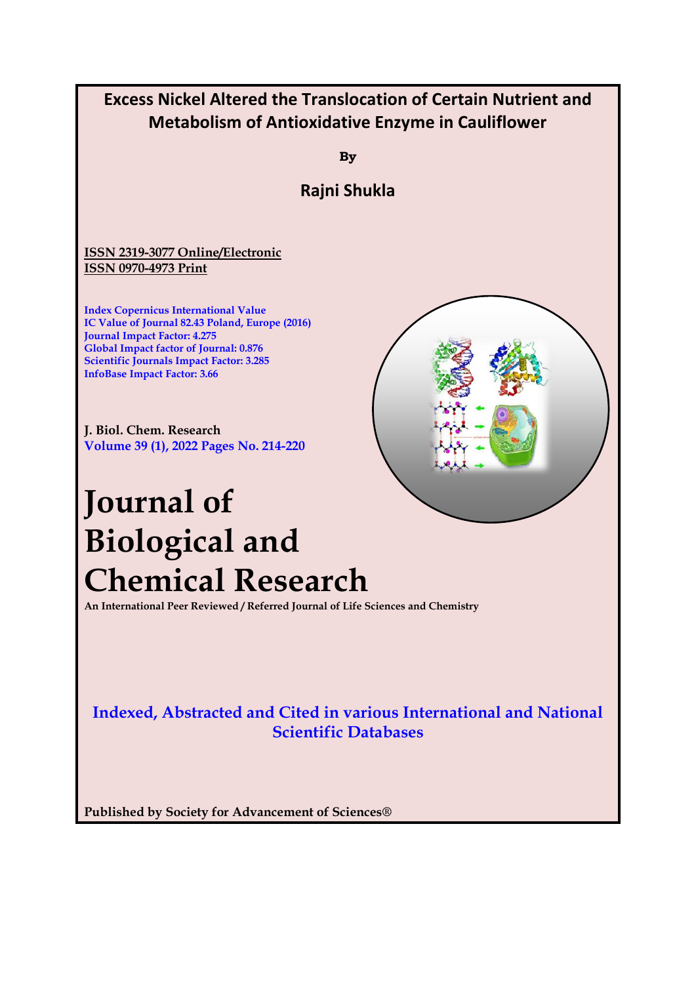

**Published by Society for Advancement of Sciences®**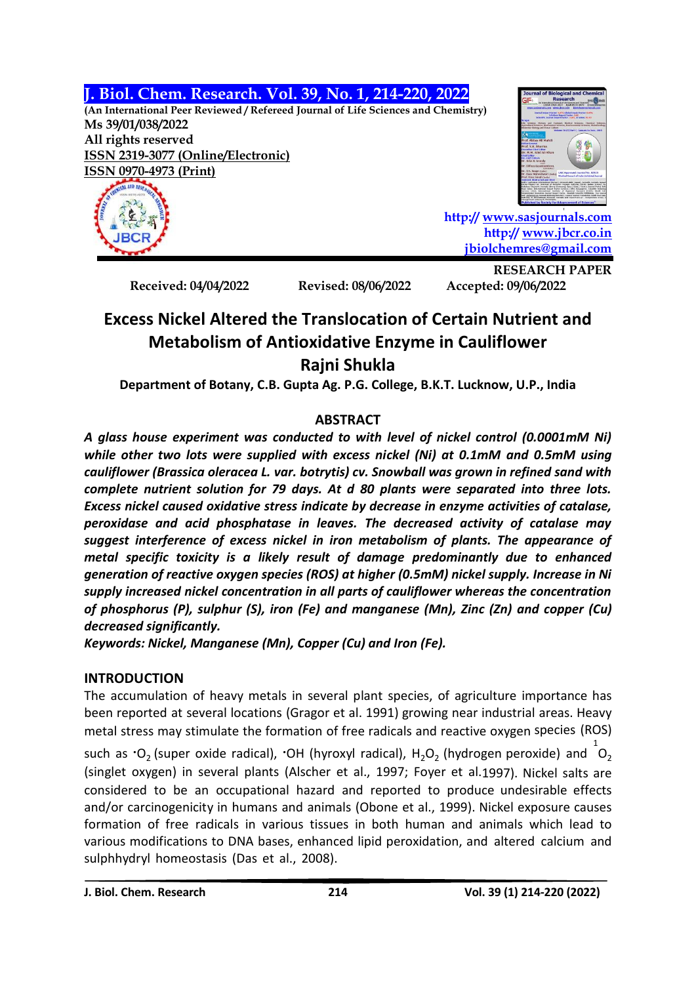**J. Biol. Chem. Research. Vol. 39, No. 1, 214-220, 2022**

**(An International Peer Reviewed / Refereed Journal of Life Sciences and Chemistry) Ms 39/01/038/2022 All rights reserved ISSN 2319-3077 (Online/Electronic) ISSN 0970-4973 (Print)**



**http:// [www.sasjournals.com](http://www.sasjournals.com/) http:/[/ www.jbcr.co.in](http://www.jbcr.co.in/) [jbiolchemres@gmail.com](mailto:jbiolchemres@gmail.com)**

**Received: 04/04/2022 Revised: 08/06/2022 Accepted: 09/06/2022**

**RESEARCH PAPER**

# **Excess Nickel Altered the Translocation of Certain Nutrient and Metabolism of Antioxidative Enzyme in Cauliflower Rajni Shukla**

**Department of Botany, C.B. Gupta Ag. P.G. College, B.K.T. Lucknow, U.P., India**

## **ABSTRACT**

*A glass house experiment was conducted to with level of nickel control (0.0001mM Ni) while other two lots were supplied with excess nickel (Ni) at 0.1mM and 0.5mM using cauliflower (Brassica oleracea L. var. botrytis) cv. Snowball was grown in refined sand with complete nutrient solution for 79 days. At d 80 plants were separated into three lots. Excess nickel caused oxidative stress indicate by decrease in enzyme activities of catalase, peroxidase and acid phosphatase in leaves. The decreased activity of catalase may suggest interference of excess nickel in iron metabolism of plants. The appearance of metal specific toxicity is a likely result of damage predominantly due to enhanced generation of reactive oxygen species (ROS) at higher (0.5mM) nickel supply. Increase in Ni supply increased nickel concentration in all parts of cauliflower whereas the concentration of phosphorus (P), sulphur (S), iron (Fe) and manganese (Mn), Zinc (Zn) and copper (Cu) decreased significantly.*

*Keywords: Nickel, Manganese (Mn), Copper (Cu) and Iron (Fe).*

## **INTRODUCTION**

The accumulation of heavy metals in several plant species, of agriculture importance has been reported at several locations (Gragor et al. 1991) growing near industrial areas. Heavy metal stress may stimulate the formation of free radicals and reactive oxygen species (ROS) such as  $\cdot$ O<sub>2</sub> (super oxide radical),  $\cdot$ OH (hyroxyl radical), H<sub>2</sub>O<sub>2</sub> (hydrogen peroxide) and  $^{1}$ O<sub>2</sub> (singlet oxygen) in several plants (Alscher et al., 1997; Foyer et al.1997). Nickel salts are considered to be an occupational hazard and reported to produce undesirable effects and/or carcinogenicity in humans and animals (Obone et al., 1999). Nickel exposure causes

formation of free radicals in various tissues in both human and animals which lead to various modifications to DNA bases, enhanced lipid peroxidation, and altered calcium and sulphhydryl homeostasis (Das et al., 2008).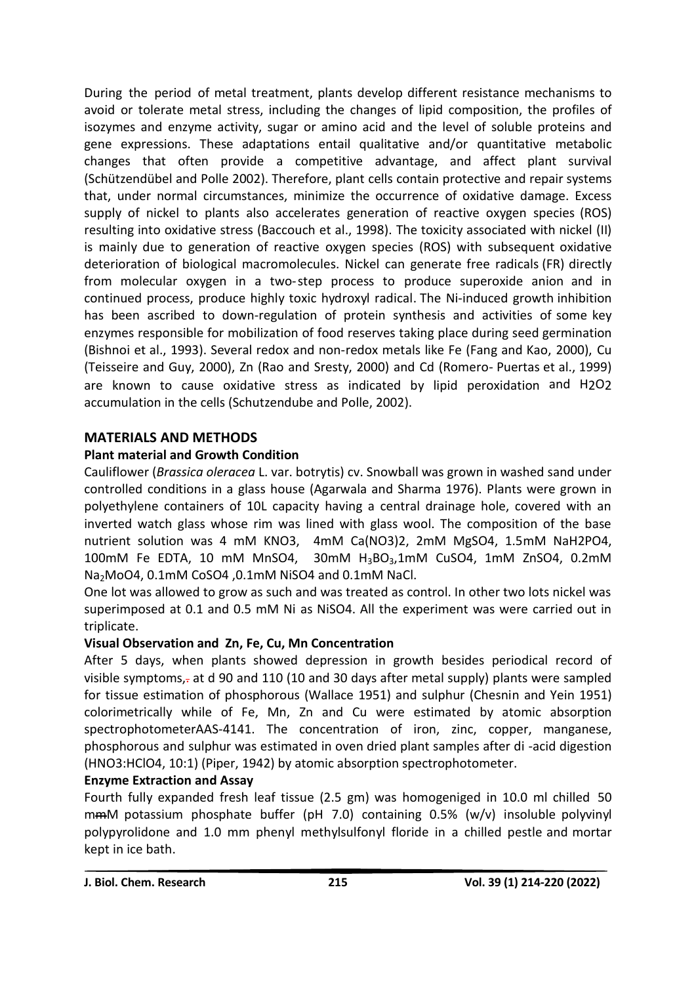During the period of metal treatment, plants develop different resistance mechanisms to avoid or tolerate metal stress, including the changes of lipid composition, the profiles of isozymes and enzyme activity, sugar or amino acid and the level of soluble proteins and gene expressions. These adaptations entail qualitative and/or quantitative metabolic changes that often provide a competitive advantage, and affect plant survival (Schützendübel and Polle 2002). Therefore, plant cells contain protective and repair systems that, under normal circumstances, minimize the occurrence of oxidative damage. Excess supply of nickel to plants also accelerates generation of reactive oxygen species (ROS) resulting into oxidative stress (Baccouch et al., 1998). The toxicity associated with nickel (II) is mainly due to generation of reactive oxygen species (ROS) with subsequent oxidative deterioration of biological macromolecules. Nickel can generate free radicals (FR) directly from molecular oxygen in a two-step process to produce superoxide anion and in continued process, produce highly toxic hydroxyl radical. The Ni-induced growth inhibition has been ascribed to down-regulation of protein synthesis and activities of some key enzymes responsible for mobilization of food reserves taking place during seed germination (Bishnoi et al., 1993). Several redox and non-redox metals like Fe (Fang and Kao, 2000), Cu (Teisseire and Guy, 2000), Zn (Rao and Sresty, 2000) and Cd (Romero- Puertas et al., 1999) are known to cause oxidative stress as indicated by lipid peroxidation and H2O2 accumulation in the cells (Schutzendube and Polle, 2002).

### **MATERIALS AND METHODS**

## **Plant material and Growth Condition**

Cauliflower (*Brassica oleracea* L. var. botrytis) cv. Snowball was grown in washed sand under controlled conditions in a glass house (Agarwala and Sharma 1976). Plants were grown in polyethylene containers of 10L capacity having a central drainage hole, covered with an inverted watch glass whose rim was lined with glass wool. The composition of the base nutrient solution was 4 mM KNO3, 4mM Ca(NO3)2, 2mM MgSO4, 1.5mM NaH2PO4, 100mM Fe EDTA, 10 mM MnSO4, 30mM H3BO3,1mM CuSO4, 1mM ZnSO4, 0.2mM Na2MoO4, 0.1mM CoSO4 ,0.1mM NiSO4 and 0.1mM NaCl.

One lot was allowed to grow as such and was treated as control. In other two lots nickel was superimposed at 0.1 and 0.5 mM Ni as NiSO4. All the experiment was were carried out in triplicate.

### **Visual Observation and Zn, Fe, Cu, Mn Concentration**

After 5 days, when plants showed depression in growth besides periodical record of visible symptoms,- at d 90 and 110 (10 and 30 days after metal supply) plants were sampled for tissue estimation of phosphorous (Wallace 1951) and sulphur (Chesnin and Yein 1951) colorimetrically while of Fe, Mn, Zn and Cu were estimated by atomic absorption spectrophotometerAAS-4141. The concentration of iron, zinc, copper, manganese, phosphorous and sulphur was estimated in oven dried plant samples after di -acid digestion (HNO3:HClO4, 10:1) (Piper, 1942) by atomic absorption spectrophotometer.

### **Enzyme Extraction and Assay**

Fourth fully expanded fresh leaf tissue (2.5 gm) was homogeniged in 10.0 ml chilled 50 mmM potassium phosphate buffer (pH 7.0) containing 0.5% (w/v) insoluble polyvinyl polypyrolidone and 1.0 mm phenyl methylsulfonyl floride in a chilled pestle and mortar kept in ice bath.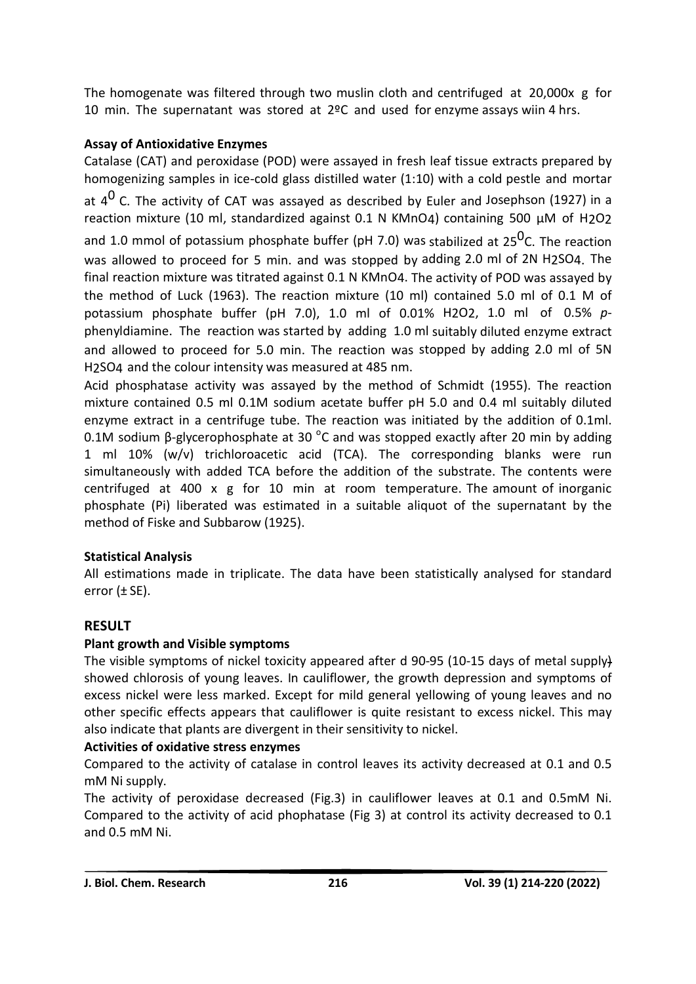The homogenate was filtered through two muslin cloth and centrifuged at 20,000x g for 10 min. The supernatant was stored at 2ºC and used for enzyme assays wiin 4 hrs.

## **Assay of Antioxidative Enzymes**

Catalase (CAT) and peroxidase (POD) were assayed in fresh leaf tissue extracts prepared by homogenizing samples in ice-cold glass distilled water (1:10) with a cold pestle and mortar at 4<sup>0</sup> C. The activity of CAT was assayed as described by Euler and Josephson (1927) in a reaction mixture (10 ml, standardized against 0.1 N KMnO4) containing 500 μM of H2O2 and 1.0 mmol of potassium phosphate buffer (pH 7.0) was stabilized at 25<sup>0</sup>C. The reaction was allowed to proceed for 5 min. and was stopped by adding 2.0 ml of 2N H2SO4. The final reaction mixture was titrated against 0.1 N KMnO4. The activity of POD was assayed by the method of Luck (1963). The reaction mixture (10 ml) contained 5.0 ml of 0.1 M of potassium phosphate buffer (pH 7.0), 1.0 ml of 0.01% H2O2, 1.0 ml of 0.5% *p*phenyldiamine. The reaction was started by adding 1.0 ml suitably diluted enzyme extract and allowed to proceed for 5.0 min. The reaction was stopped by adding 2.0 ml of 5N H2SO4 and the colour intensity was measured at 485 nm.

Acid phosphatase activity was assayed by the method of Schmidt (1955). The reaction mixture contained 0.5 ml 0.1M sodium acetate buffer pH 5.0 and 0.4 ml suitably diluted enzyme extract in a centrifuge tube. The reaction was initiated by the addition of 0.1ml. 0.1M sodium β-glycerophosphate at 30  $^{\circ}$ C and was stopped exactly after 20 min by adding 1 ml 10% (w/v) trichloroacetic acid (TCA). The corresponding blanks were run simultaneously with added TCA before the addition of the substrate. The contents were centrifuged at 400  $\times$  g for 10 min at room temperature. The amount of inorganic phosphate (Pi) liberated was estimated in a suitable aliquot of the supernatant by the method of Fiske and Subbarow (1925).

## **Statistical Analysis**

All estimations made in triplicate. The data have been statistically analysed for standard error  $(\pm$  SE).

## **RESULT**

## **Plant growth and Visible symptoms**

The visible symptoms of nickel toxicity appeared after d 90-95 (10-15 days of metal supply) showed chlorosis of young leaves. In cauliflower, the growth depression and symptoms of excess nickel were less marked. Except for mild general yellowing of young leaves and no other specific effects appears that cauliflower is quite resistant to excess nickel. This may also indicate that plants are divergent in their sensitivity to nickel.

### **Activities of oxidative stress enzymes**

Compared to the activity of catalase in control leaves its activity decreased at 0.1 and 0.5 mM Ni supply.

The activity of peroxidase decreased (Fig.3) in cauliflower leaves at 0.1 and 0.5mM Ni. Compared to the activity of acid phophatase (Fig 3) at control its activity decreased to 0.1 and 0.5 mM Ni.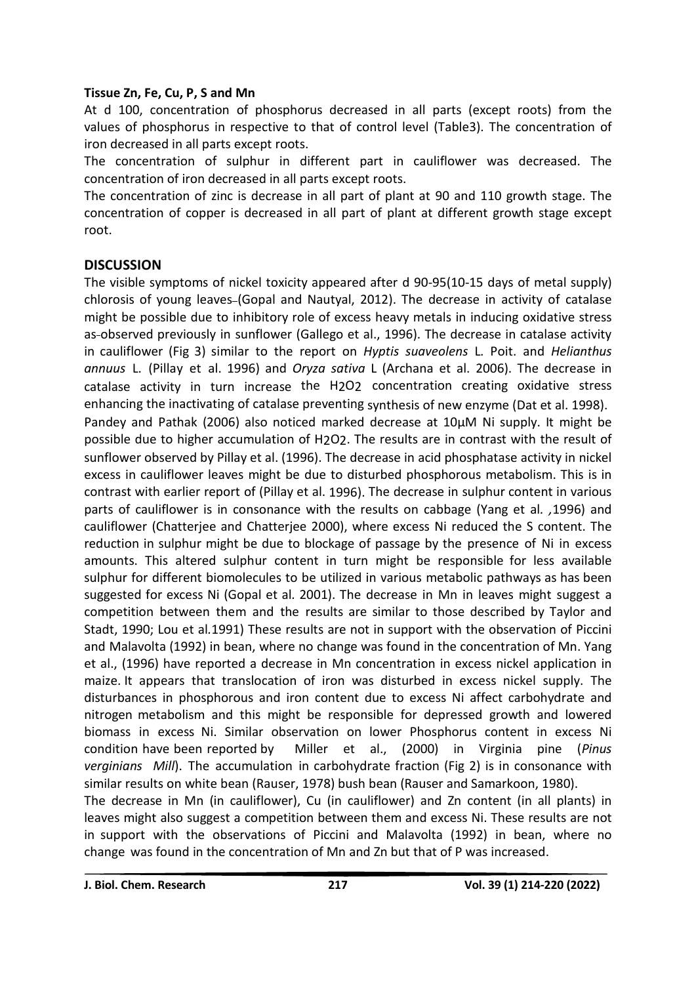#### **Tissue Zn, Fe, Cu, P, S and Mn**

At d 100, concentration of phosphorus decreased in all parts (except roots) from the values of phosphorus in respective to that of control level (Table3). The concentration of iron decreased in all parts except roots.

The concentration of sulphur in different part in cauliflower was decreased. The concentration of iron decreased in all parts except roots.

The concentration of zinc is decrease in all part of plant at 90 and 110 growth stage. The concentration of copper is decreased in all part of plant at different growth stage except root.

#### **DISCUSSION**

The visible symptoms of nickel toxicity appeared after d 90-95(10-15 days of metal supply) chlorosis of young leaves-(Gopal and Nautyal, 2012). The decrease in activity of catalase might be possible due to inhibitory role of excess heavy metals in inducing oxidative stress as-observed previously in sunflower (Gallego et al., 1996). The decrease in catalase activity in cauliflower (Fig 3) similar to the report on *Hyptis suaveolens* L. Poit. and *Helianthus annuus* L. (Pillay et al. 1996) and *Oryza sativa* L (Archana et al. 2006). The decrease in catalase activity in turn increase the H2O2 concentration creating oxidative stress enhancing the inactivating of catalase preventing synthesis of new enzyme (Dat et al. 1998).

Pandey and Pathak (2006) also noticed marked decrease at 10µM Ni supply. It might be possible due to higher accumulation of H2O2. The results are in contrast with the result of sunflower observed by Pillay et al. (1996). The decrease in acid phosphatase activity in nickel excess in cauliflower leaves might be due to disturbed phosphorous metabolism. This is in contrast with earlier report of (Pillay et al. 1996). The decrease in sulphur content in various parts of cauliflower is in consonance with the results on cabbage (Yang et al*. ,*1996) and cauliflower (Chatterjee and Chatterjee 2000), where excess Ni reduced the S content. The reduction in sulphur might be due to blockage of passage by the presence of Ni in excess amounts. This altered sulphur content in turn might be responsible for less available sulphur for different biomolecules to be utilized in various metabolic pathways as has been suggested for excess Ni (Gopal et al*.* 2001). The decrease in Mn in leaves might suggest a competition between them and the results are similar to those described by Taylor and Stadt, 1990; Lou et al*.*1991) These results are not in support with the observation of Piccini and Malavolta (1992) in bean, where no change was found in the concentration of Mn. Yang et al., (1996) have reported a decrease in Mn concentration in excess nickel application in maize. It appears that translocation of iron was disturbed in excess nickel supply. The disturbances in phosphorous and iron content due to excess Ni affect carbohydrate and nitrogen metabolism and this might be responsible for depressed growth and lowered biomass in excess Ni. Similar observation on lower Phosphorus content in excess Ni condition have been reported by Miller et al., (2000) in Virginia pine (*Pinus verginians Mill*). The accumulation in carbohydrate fraction (Fig 2) is in consonance with similar results on white bean (Rauser, 1978) bush bean (Rauser and Samarkoon, 1980). The decrease in Mn (in cauliflower), Cu (in cauliflower) and Zn content (in all plants) in leaves might also suggest a competition between them and excess Ni. These results are not in support with the observations of Piccini and Malavolta (1992) in bean, where no

change was found in the concentration of Mn and Zn but that of P was increased.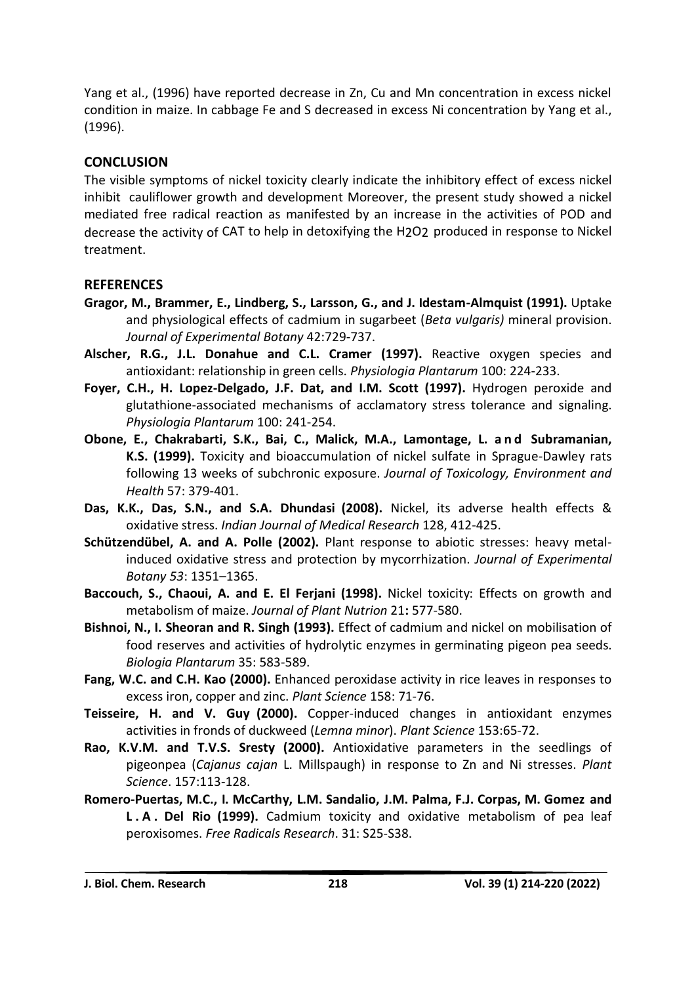Yang et al., (1996) have reported decrease in Zn, Cu and Mn concentration in excess nickel condition in maize. In cabbage Fe and S decreased in excess Ni concentration by Yang et al., (1996).

## **CONCLUSION**

The visible symptoms of nickel toxicity clearly indicate the inhibitory effect of excess nickel inhibit cauliflower growth and development Moreover, the present study showed a nickel mediated free radical reaction as manifested by an increase in the activities of POD and decrease the activity of CAT to help in detoxifying the H2O2 produced in response to Nickel treatment.

### **REFERENCES**

- **Gragor, M., Brammer, E., Lindberg, S., Larsson, G., and J. Idestam-Almquist (1991).** Uptake and physiological effects of cadmium in sugarbeet (*Beta vulgaris)* mineral provision. *Journal of Experimental Botany* 42:729-737.
- **Alscher, R.G., J.L. Donahue and C.L. Cramer (1997).** Reactive oxygen species and antioxidant: relationship in green cells. *Physiologia Plantarum* 100: 224-233.
- **Foyer, C.H., H. Lopez-Delgado, J.F. Dat, and I.M. Scott (1997).** Hydrogen peroxide and glutathione-associated mechanisms of acclamatory stress tolerance and signaling. *Physiologia Plantarum* 100: 241-254.
- **Obone, E., Chakrabarti, S.K., Bai, C., Malick, M.A., Lamontage, L. a n d Subramanian, K.S. (1999).** Toxicity and bioaccumulation of nickel sulfate in Sprague-Dawley rats following 13 weeks of subchronic exposure. *Journal of Toxicology, Environment and Health* 57: 379-401.
- **Das, K.K., Das, S.N., and S.A. Dhundasi (2008).** Nickel, its adverse health effects & oxidative stress. *Indian Journal of Medical Research* 128, 412-425.
- **Schützendübel, A. and A. Polle (2002).** Plant response to abiotic stresses: heavy metalinduced oxidative stress and protection by mycorrhization. *Journal of Experimental Botany 53*: 1351–1365.
- **Baccouch, S., Chaoui, A. and E. El Ferjani (1998).** Nickel toxicity: Effects on growth and metabolism of maize. *Journal of Plant Nutrion* 21**:** 577-580.
- **Bishnoi, N., I. Sheoran and R. Singh (1993).** Effect of cadmium and nickel on mobilisation of food reserves and activities of hydrolytic enzymes in germinating pigeon pea seeds. *Biologia Plantarum* 35: 583-589.
- **Fang, W.C. and C.H. Kao (2000).** Enhanced peroxidase activity in rice leaves in responses to excess iron, copper and zinc. *Plant Science* 158: 71-76.
- **Teisseire, H. and V. Guy (2000).** Copper-induced changes in antioxidant enzymes activities in fronds of duckweed (*Lemna minor*). *Plant Science* 153:65-72.
- **Rao, K.V.M. and T.V.S. Sresty (2000).** Antioxidative parameters in the seedlings of pigeonpea (*Cajanus cajan* L. Millspaugh) in response to Zn and Ni stresses. *Plant Science*. 157:113-128.
- **Romero-Puertas, M.C., I. McCarthy, L.M. Sandalio, J.M. Palma, F.J. Corpas, M. Gomez and L . A . Del Rio (1999).** Cadmium toxicity and oxidative metabolism of pea leaf peroxisomes. *Free Radicals Research*. 31: S25-S38.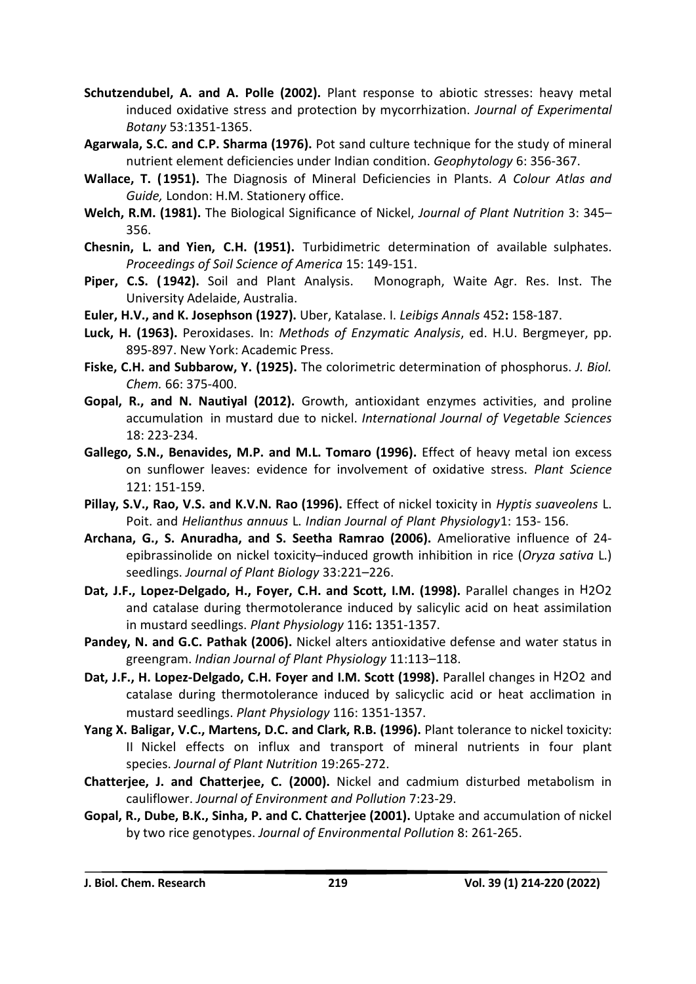- **Schutzendubel, A. and A. Polle (2002).** Plant response to abiotic stresses: heavy metal induced oxidative stress and protection by mycorrhization. *Journal of Experimental Botany* 53:1351-1365.
- **Agarwala, S.C. and C.P. Sharma (1976).** Pot sand culture technique for the study of mineral nutrient element deficiencies under Indian condition. *Geophytology* 6: 356-367.
- **Wallace, T. (1951).** The Diagnosis of Mineral Deficiencies in Plants. *A Colour Atlas and Guide,* London: H.M. Stationery office.
- **Welch, R.M. (1981).** The Biological Significance of Nickel, *Journal of Plant Nutrition* 3: 345– 356.
- **Chesnin, L. and Yien, C.H. (1951).** Turbidimetric determination of available sulphates. *Proceedings of Soil Science of America* 15: 149-151.
- **Piper, C.S. (1942).** Soil and Plant Analysis. Monograph, Waite Agr. Res. Inst. The University Adelaide, Australia.
- **Euler, H.V., and K. Josephson (1927).** Uber, Katalase. I. *Leibigs Annals* 452**:** 158-187.
- **Luck, H. (1963).** Peroxidases. In: *Methods of Enzymatic Analysis*, ed. H.U. Bergmeyer, pp. 895-897. New York: Academic Press.
- **Fiske, C.H. and Subbarow, Y. (1925).** The colorimetric determination of phosphorus. *J. Biol. Chem.* 66: 375-400.
- **Gopal, R., and N. Nautiyal (2012).** Growth, antioxidant enzymes activities, and proline accumulation in mustard due to nickel. *International Journal of Vegetable Sciences* 18: 223-234.
- **Gallego, S.N., Benavides, M.P. and M.L. Tomaro (1996).** Effect of heavy metal ion excess on sunflower leaves: evidence for involvement of oxidative stress. *Plant Science* 121: 151-159.
- **Pillay, S.V., Rao, V.S. and K.V.N. Rao (1996).** Effect of nickel toxicity in *Hyptis suaveolens* L. Poit. and *Helianthus annuus* L. *Indian Journal of Plant Physiology*1: 153- 156.
- **Archana, G., S. Anuradha, and S. Seetha Ramrao (2006).** Ameliorative influence of 24 epibrassinolide on nickel toxicity–induced growth inhibition in rice (*Oryza sativa* L.) seedlings. *Journal of Plant Biology* 33:221–226.
- **Dat, J.F., Lopez-Delgado, H., Foyer, C.H. and Scott, I.M. (1998).** Parallel changes in H2O2 and catalase during thermotolerance induced by salicylic acid on heat assimilation in mustard seedlings. *Plant Physiology* 116**:** 1351-1357.
- **Pandey, N. and G.C. Pathak (2006).** Nickel alters antioxidative defense and water status in greengram. *Indian Journal of Plant Physiology* 11:113–118.
- **Dat, J.F., H. Lopez-Delgado, C.H. Foyer and I.M. Scott (1998).** Parallel changes in H2O2 and catalase during thermotolerance induced by salicyclic acid or heat acclimation in mustard seedlings. *Plant Physiology* 116: 1351-1357.
- **Yang X. Baligar, V.C., Martens, D.C. and Clark, R.B. (1996).** Plant tolerance to nickel toxicity: II Nickel effects on influx and transport of mineral nutrients in four plant species. *Journal of Plant Nutrition* 19:265-272.
- **Chatterjee, J. and Chatterjee, C. (2000).** Nickel and cadmium disturbed metabolism in cauliflower. *Journal of Environment and Pollution* 7:23-29.
- **Gopal, R., Dube, B.K., Sinha, P. and C. Chatterjee (2001).** Uptake and accumulation of nickel by two rice genotypes. *Journal of Environmental Pollution* 8: 261-265.